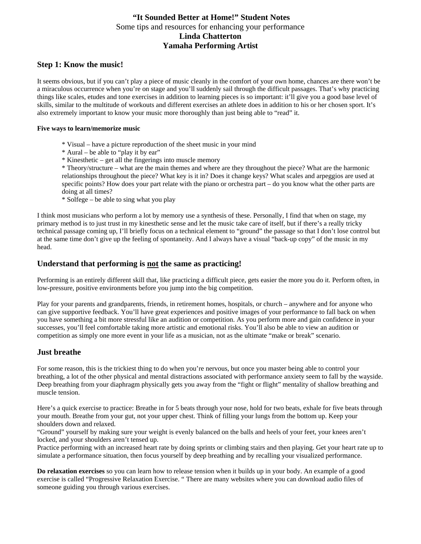# **"It Sounded Better at Home!" Student Notes**  Some tips and resources for enhancing your performance **Linda Chatterton Yamaha Performing Artist**

## **Step 1: Know the music!**

It seems obvious, but if you can't play a piece of music cleanly in the comfort of your own home, chances are there won't be a miraculous occurrence when you're on stage and you'll suddenly sail through the difficult passages. That's why practicing things like scales, etudes and tone exercises in addition to learning pieces is so important: it'll give you a good base level of skills, similar to the multitude of workouts and different exercises an athlete does in addition to his or her chosen sport. It's also extremely important to know your music more thoroughly than just being able to "read" it.

#### **Five ways to learn/memorize music**

- \* Visual have a picture reproduction of the sheet music in your mind
- \* Aural be able to "play it by ear"
- \* Kinesthetic get all the fingerings into muscle memory

\* Theory/structure – what are the main themes and where are they throughout the piece? What are the harmonic relationships throughout the piece? What key is it in? Does it change keys? What scales and arpeggios are used at specific points? How does your part relate with the piano or orchestra part – do you know what the other parts are doing at all times?

\* Solfege – be able to sing what you play

I think most musicians who perform a lot by memory use a synthesis of these. Personally, I find that when on stage, my primary method is to just trust in my kinesthetic sense and let the music take care of itself, but if there's a really tricky technical passage coming up, I'll briefly focus on a technical element to "ground" the passage so that I don't lose control but at the same time don't give up the feeling of spontaneity. And I always have a visual "back-up copy" of the music in my head.

## **Understand that performing is not the same as practicing!**

Performing is an entirely different skill that, like practicing a difficult piece, gets easier the more you do it. Perform often, in low-pressure, positive environments before you jump into the big competition.

Play for your parents and grandparents, friends, in retirement homes, hospitals, or church – anywhere and for anyone who can give supportive feedback. You'll have great experiences and positive images of your performance to fall back on when you have something a bit more stressful like an audition or competition. As you perform more and gain confidence in your successes, you'll feel comfortable taking more artistic and emotional risks. You'll also be able to view an audition or competition as simply one more event in your life as a musician, not as the ultimate "make or break" scenario.

### **Just breathe**

For some reason, this is the trickiest thing to do when you're nervous, but once you master being able to control your breathing, a lot of the other physical and mental distractions associated with performance anxiety seem to fall by the wayside. Deep breathing from your diaphragm physically gets you away from the "fight or flight" mentality of shallow breathing and muscle tension.

Here's a quick exercise to practice: Breathe in for 5 beats through your nose, hold for two beats, exhale for five beats through your mouth. Breathe from your gut, not your upper chest. Think of filling your lungs from the bottom up. Keep your shoulders down and relaxed.

"Ground" yourself by making sure your weight is evenly balanced on the balls and heels of your feet, your knees aren't locked, and your shoulders aren't tensed up.

Practice performing with an increased heart rate by doing sprints or climbing stairs and then playing. Get your heart rate up to simulate a performance situation, then focus yourself by deep breathing and by recalling your visualized performance.

**Do relaxation exercises** so you can learn how to release tension when it builds up in your body. An example of a good exercise is called "Progressive Relaxation Exercise. " There are many websites where you can download audio files of someone guiding you through various exercises.